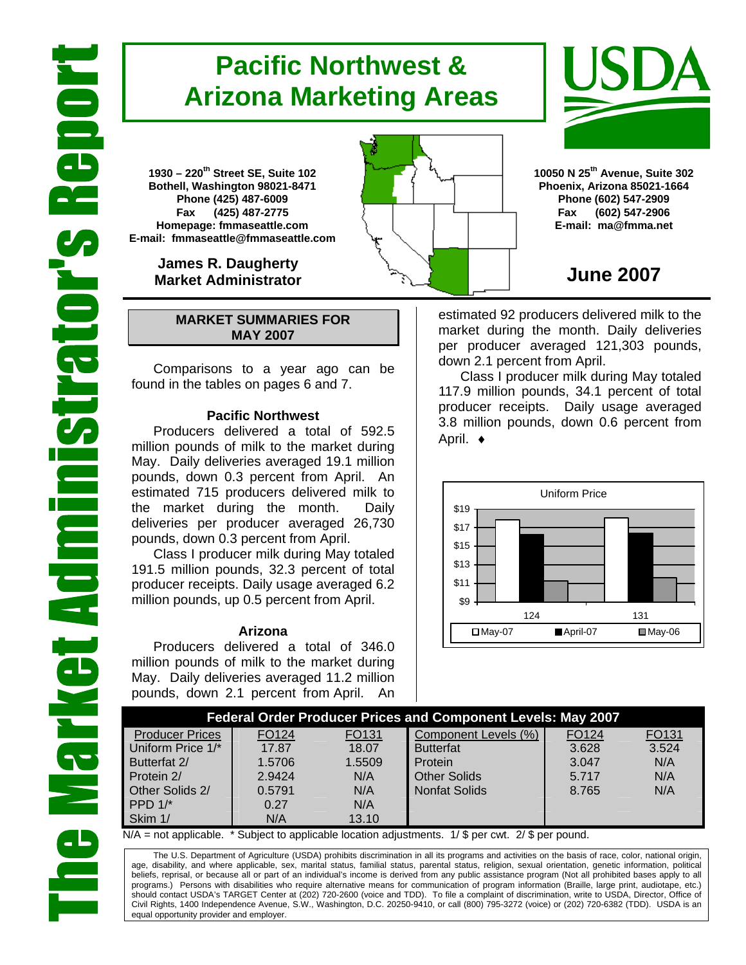# **Pacific Northwest & Arizona Marketing Areas**

**1930 – 220th Street SE, Suite 102 Bothell, Washington 98021-8471 Phone (425) 487-6009 Fax (425) 487-2775 Homepage: fmmaseattle.com E-mail: fmmaseattle@fmmaseattle.com**

> **James R. Daugherty Market Administrator**

### **MARKET SUMMARIES FOR MAY 2007**

 Comparisons to a year ago can be found in the tables on pages 6 and 7.

### **Pacific Northwest**

Producers delivered a total of 592.5 million pounds of milk to the market during May. Daily deliveries averaged 19.1 million pounds, down 0.3 percent from April. An estimated 715 producers delivered milk to the market during the month. Daily deliveries per producer averaged 26,730 pounds, down 0.3 percent from April.

Class I producer milk during May totaled 191.5 million pounds, 32.3 percent of total producer receipts. Daily usage averaged 6.2 million pounds, up 0.5 percent from April.

#### **Arizona**

Producers delivered a total of 346.0 million pounds of milk to the market during May. Daily deliveries averaged 11.2 million pounds, down 2.1 percent from April. An





**10050 N 25th Avenue, Suite 302 Phoenix, Arizona 85021-1664 Phone (602) 547-2909 Fax (602) 547-2906 E-mail: ma@fmma.net**

## **June 2007**

estimated 92 producers delivered milk to the market during the month. Daily deliveries per producer averaged 121,303 pounds, down 2.1 percent from April.

Class I producer milk during May totaled 117.9 million pounds, 34.1 percent of total producer receipts. Daily usage averaged 3.8 million pounds, down 0.6 percent from April. ♦



|                        |                   |       | <b>Federal Order Producer Prices and Component Levels: May 2007</b><br>FO124<br>FO131<br>Component Levels (%)<br>FO131<br>3.524<br>3.628<br>18.07<br><b>Butterfat</b><br>N/A<br>1.5509<br>3.047<br>Protein<br>N/A<br><b>Other Solids</b><br>N/A<br>5.717<br><b>Nonfat Solids</b><br>N/A<br>N/A<br>8.765 |  |  |
|------------------------|-------------------|-------|---------------------------------------------------------------------------------------------------------------------------------------------------------------------------------------------------------------------------------------------------------------------------------------------------------|--|--|
| <b>Producer Prices</b> | FO <sub>124</sub> |       |                                                                                                                                                                                                                                                                                                         |  |  |
| Uniform Price 1/*      | 17.87             |       |                                                                                                                                                                                                                                                                                                         |  |  |
| Butterfat 2/           | 1.5706            |       |                                                                                                                                                                                                                                                                                                         |  |  |
| Protein 2/             | 2.9424            |       |                                                                                                                                                                                                                                                                                                         |  |  |
| Other Solids 2/        | 0.5791            |       |                                                                                                                                                                                                                                                                                                         |  |  |
| PPD $1$ <sup>*</sup>   | 0.27              | N/A   |                                                                                                                                                                                                                                                                                                         |  |  |
| Skim 1/                | N/A               | 13.10 |                                                                                                                                                                                                                                                                                                         |  |  |

 $N/A$  = not applicable. \* Subject to applicable location adjustments. 1/ \$ per cwt. 2/ \$ per pound.

The U.S. Department of Agriculture (USDA) prohibits discrimination in all its programs and activities on the basis of race, color, national origin, age, disability, and where applicable, sex, marital status, familial status, parental status, religion, sexual orientation, genetic information, political beliefs, reprisal, or because all or part of an individual's income is derived from any public assistance program (Not all prohibited bases apply to all programs.) Persons with disabilities who require alternative means for communication of program information (Braille, large print, audiotape, etc.) should contact USDA's TARGET Center at (202) 720-2600 (voice and TDD). To file a complaint of discrimination, write to USDA, Director, Office of Civil Rights, 1400 Independence Avenue, S.W., Washington, D.C. 20250-9410, or call (800) 795-3272 (voice) or (202) 720-6382 (TDD). USDA is an equal opportunity provider and employer.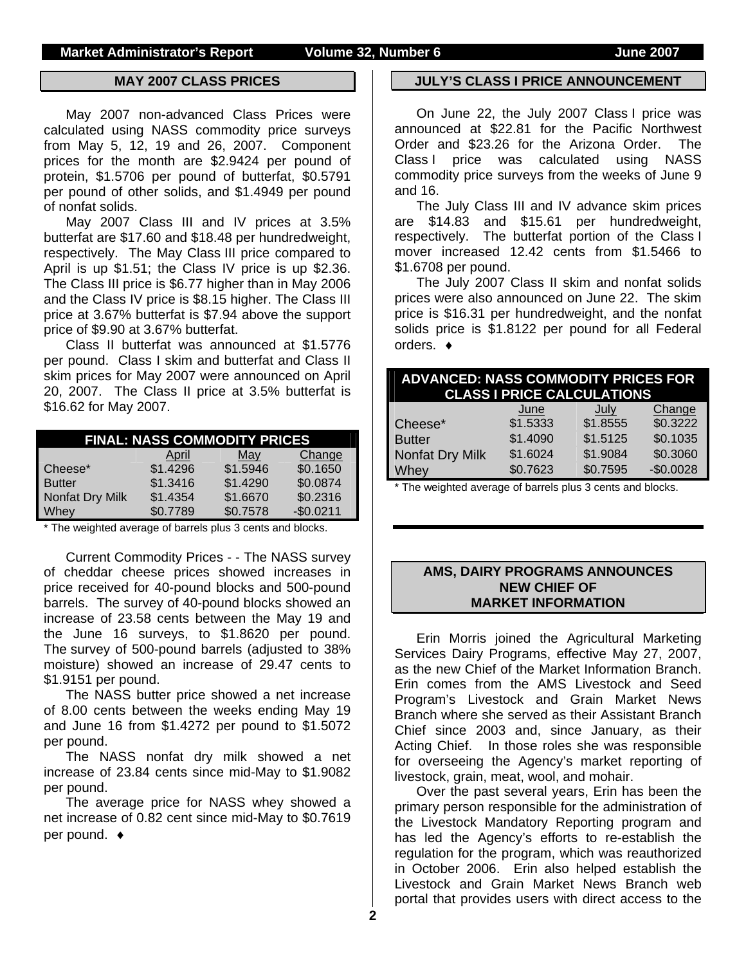#### **MAY 2007 CLASS PRICES**

May 2007 non-advanced Class Prices were calculated using NASS commodity price surveys from May 5, 12, 19 and 26, 2007. Component prices for the month are \$2.9424 per pound of protein, \$1.5706 per pound of butterfat, \$0.5791 per pound of other solids, and \$1.4949 per pound of nonfat solids.

May 2007 Class III and IV prices at 3.5% butterfat are \$17.60 and \$18.48 per hundredweight, respectively. The May Class III price compared to April is up \$1.51; the Class IV price is up \$2.36. The Class III price is \$6.77 higher than in May 2006 and the Class IV price is \$8.15 higher. The Class III price at 3.67% butterfat is \$7.94 above the support price of \$9.90 at 3.67% butterfat.

Class II butterfat was announced at \$1.5776 per pound. Class I skim and butterfat and Class II skim prices for May 2007 were announced on April 20, 2007. The Class II price at 3.5% butterfat is \$16.62 for May 2007.

|                 |          | <b>FINAL: NASS COMMODITY PRICES</b> |            |
|-----------------|----------|-------------------------------------|------------|
|                 | April    | May                                 | Change     |
| Cheese*         | \$1.4296 | \$1.5946                            | \$0.1650   |
| <b>Butter</b>   | \$1.3416 | \$1,4290                            | \$0.0874   |
| Nonfat Dry Milk | \$1.4354 | \$1.6670                            | \$0.2316   |
| Whey            | \$0.7789 | \$0.7578                            | $-$0.0211$ |

\* The weighted average of barrels plus 3 cents and blocks.

Current Commodity Prices - - The NASS survey of cheddar cheese prices showed increases in price received for 40-pound blocks and 500-pound barrels. The survey of 40-pound blocks showed an increase of 23.58 cents between the May 19 and the June 16 surveys, to \$1.8620 per pound. The survey of 500-pound barrels (adjusted to 38% moisture) showed an increase of 29.47 cents to \$1.9151 per pound.

The NASS butter price showed a net increase of 8.00 cents between the weeks ending May 19 and June 16 from \$1.4272 per pound to \$1.5072 per pound.

The NASS nonfat dry milk showed a net increase of 23.84 cents since mid-May to \$1.9082 per pound.

The average price for NASS whey showed a net increase of 0.82 cent since mid-May to \$0.7619 per pound. ♦

#### **JULY'S CLASS I PRICE ANNOUNCEMENT**

On June 22, the July 2007 Class I price was announced at \$22.81 for the Pacific Northwest Order and \$23.26 for the Arizona Order. The Class I price was calculated using NASS commodity price surveys from the weeks of June 9 and 16.

The July Class III and IV advance skim prices are \$14.83 and \$15.61 per hundredweight, respectively. The butterfat portion of the Class I mover increased 12.42 cents from \$1.5466 to \$1.6708 per pound.

The July 2007 Class II skim and nonfat solids prices were also announced on June 22. The skim price is \$16.31 per hundredweight, and the nonfat solids price is \$1.8122 per pound for all Federal orders. ♦

| <b>ADVANCED: NASS COMMODITY PRICES FOR</b><br><b>CLASS I PRICE CALCULATIONS</b> |          |             |            |  |  |  |
|---------------------------------------------------------------------------------|----------|-------------|------------|--|--|--|
|                                                                                 | June     | <u>July</u> | Change     |  |  |  |
| Cheese*                                                                         | \$1.5333 | \$1.8555    | \$0.3222   |  |  |  |
| <b>Butter</b>                                                                   | \$1.4090 | \$1.5125    | \$0.1035   |  |  |  |
| Nonfat Dry Milk                                                                 | \$1.6024 | \$1.9084    | \$0.3060   |  |  |  |
| Whey                                                                            | \$0.7623 | \$0.7595    | $-$0.0028$ |  |  |  |
|                                                                                 |          |             |            |  |  |  |

The weighted average of barrels plus 3 cents and blocks.

### **AMS, DAIRY PROGRAMS ANNOUNCES NEW CHIEF OF MARKET INFORMATION**

Erin Morris joined the Agricultural Marketing Services Dairy Programs, effective May 27, 2007, as the new Chief of the Market Information Branch. Erin comes from the AMS Livestock and Seed Program's Livestock and Grain Market News Branch where she served as their Assistant Branch Chief since 2003 and, since January, as their Acting Chief. In those roles she was responsible for overseeing the Agency's market reporting of livestock, grain, meat, wool, and mohair.

Over the past several years, Erin has been the primary person responsible for the administration of the Livestock Mandatory Reporting program and has led the Agency's efforts to re-establish the regulation for the program, which was reauthorized in October 2006. Erin also helped establish the Livestock and Grain Market News Branch web portal that provides users with direct access to the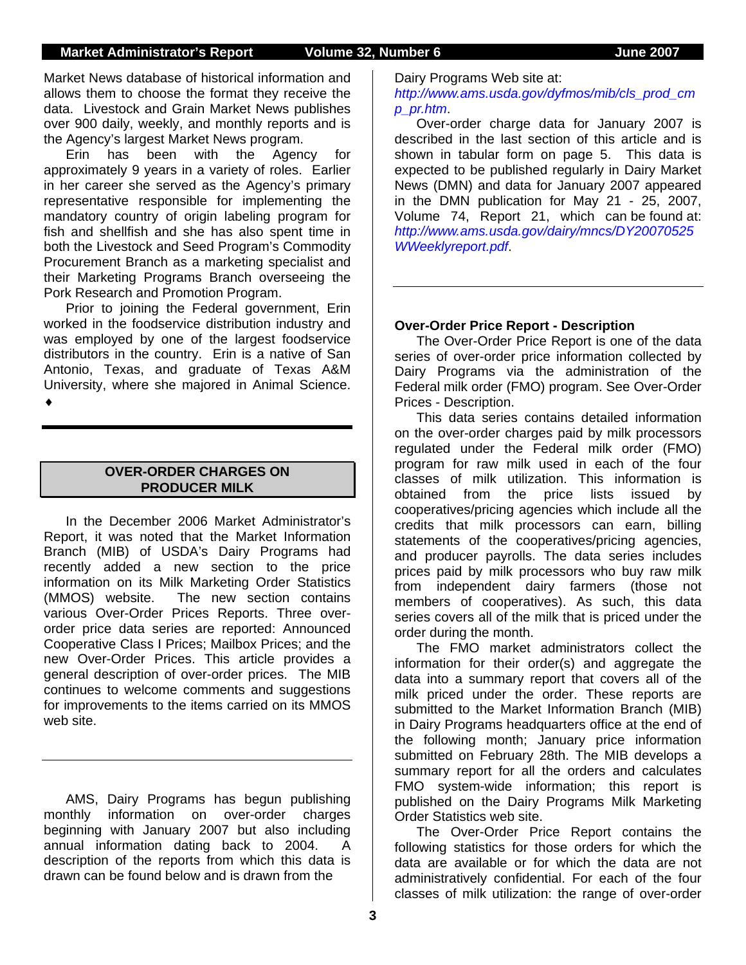Market News database of historical information and allows them to choose the format they receive the data. Livestock and Grain Market News publishes over 900 daily, weekly, and monthly reports and is the Agency's largest Market News program.

Erin has been with the Agency for approximately 9 years in a variety of roles. Earlier in her career she served as the Agency's primary representative responsible for implementing the mandatory country of origin labeling program for fish and shellfish and she has also spent time in both the Livestock and Seed Program's Commodity Procurement Branch as a marketing specialist and their Marketing Programs Branch overseeing the Pork Research and Promotion Program.

Prior to joining the Federal government, Erin worked in the foodservice distribution industry and was employed by one of the largest foodservice distributors in the country. Erin is a native of San Antonio, Texas, and graduate of Texas A&M University, where she majored in Animal Science. ♦

### **OVER-ORDER CHARGES ON PRODUCER MILK**

 In the December 2006 Market Administrator's Report, it was noted that the Market Information Branch (MIB) of USDA's Dairy Programs had recently added a new section to the price information on its Milk Marketing Order Statistics (MMOS) website. The new section contains various Over-Order Prices Reports. Three overorder price data series are reported: Announced Cooperative Class I Prices; Mailbox Prices; and the new Over-Order Prices. This article provides a general description of over-order prices. The MIB continues to welcome comments and suggestions for improvements to the items carried on its MMOS web site.

AMS, Dairy Programs has begun publishing monthly information on over-order charges beginning with January 2007 but also including annual information dating back to 2004. A description of the reports from which this data is drawn can be found below and is drawn from the

Dairy Programs Web site at:

*http://www.ams.usda.gov/dyfmos/mib/cls\_prod\_cm p\_pr.htm*.

Over-order charge data for January 2007 is described in the last section of this article and is shown in tabular form on page 5. This data is expected to be published regularly in Dairy Market News (DMN) and data for January 2007 appeared in the DMN publication for May 21 - 25, 2007, Volume 74, Report 21, which can be found at: *http://www.ams.usda.gov/dairy/mncs/DY20070525 WWeeklyreport.pdf*.

### **Over-Order Price Report - Description**

The Over-Order Price Report is one of the data series of over-order price information collected by Dairy Programs via the administration of the Federal milk order (FMO) program. See Over-Order Prices - Description.

This data series contains detailed information on the over-order charges paid by milk processors regulated under the Federal milk order (FMO) program for raw milk used in each of the four classes of milk utilization. This information is obtained from the price lists issued by cooperatives/pricing agencies which include all the credits that milk processors can earn, billing statements of the cooperatives/pricing agencies, and producer payrolls. The data series includes prices paid by milk processors who buy raw milk from independent dairy farmers (those not members of cooperatives). As such, this data series covers all of the milk that is priced under the order during the month.

The FMO market administrators collect the information for their order(s) and aggregate the data into a summary report that covers all of the milk priced under the order. These reports are submitted to the Market Information Branch (MIB) in Dairy Programs headquarters office at the end of the following month; January price information submitted on February 28th. The MIB develops a summary report for all the orders and calculates FMO system-wide information; this report is published on the Dairy Programs Milk Marketing Order Statistics web site.

The Over-Order Price Report contains the following statistics for those orders for which the data are available or for which the data are not administratively confidential. For each of the four classes of milk utilization: the range of over-order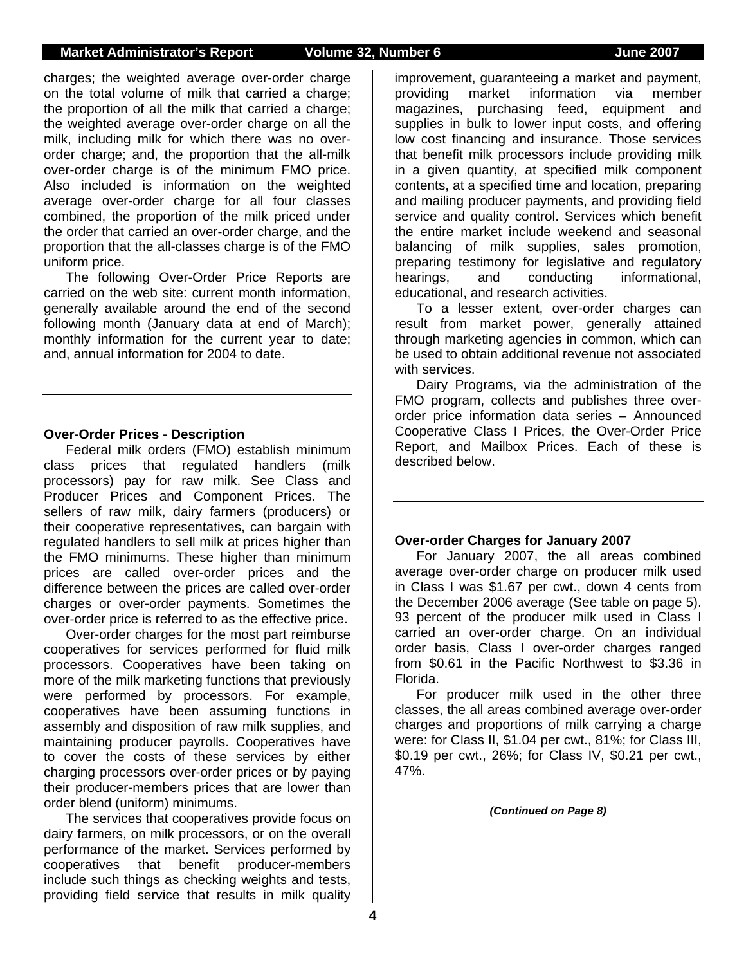### **Market Administrator's Report Volume 32, Number 6 June 2007**

charges; the weighted average over-order charge on the total volume of milk that carried a charge; the proportion of all the milk that carried a charge; the weighted average over-order charge on all the milk, including milk for which there was no overorder charge; and, the proportion that the all-milk over-order charge is of the minimum FMO price. Also included is information on the weighted average over-order charge for all four classes combined, the proportion of the milk priced under the order that carried an over-order charge, and the proportion that the all-classes charge is of the FMO uniform price.

The following Over-Order Price Reports are carried on the web site: current month information, generally available around the end of the second following month (January data at end of March); monthly information for the current year to date; and, annual information for 2004 to date.

#### **Over-Order Prices - Description**

Federal milk orders (FMO) establish minimum class prices that regulated handlers (milk processors) pay for raw milk. See Class and Producer Prices and Component Prices. The sellers of raw milk, dairy farmers (producers) or their cooperative representatives, can bargain with regulated handlers to sell milk at prices higher than the FMO minimums. These higher than minimum prices are called over-order prices and the difference between the prices are called over-order charges or over-order payments. Sometimes the over-order price is referred to as the effective price.

Over-order charges for the most part reimburse cooperatives for services performed for fluid milk processors. Cooperatives have been taking on more of the milk marketing functions that previously were performed by processors. For example, cooperatives have been assuming functions in assembly and disposition of raw milk supplies, and maintaining producer payrolls. Cooperatives have to cover the costs of these services by either charging processors over-order prices or by paying their producer-members prices that are lower than order blend (uniform) minimums.

The services that cooperatives provide focus on dairy farmers, on milk processors, or on the overall performance of the market. Services performed by cooperatives that benefit producer-members include such things as checking weights and tests, providing field service that results in milk quality

improvement, guaranteeing a market and payment, providing market information via member magazines, purchasing feed, equipment and supplies in bulk to lower input costs, and offering low cost financing and insurance. Those services that benefit milk processors include providing milk in a given quantity, at specified milk component contents, at a specified time and location, preparing and mailing producer payments, and providing field service and quality control. Services which benefit the entire market include weekend and seasonal balancing of milk supplies, sales promotion, preparing testimony for legislative and regulatory hearings, and conducting informational, educational, and research activities.

To a lesser extent, over-order charges can result from market power, generally attained through marketing agencies in common, which can be used to obtain additional revenue not associated with services.

Dairy Programs, via the administration of the FMO program, collects and publishes three overorder price information data series – Announced Cooperative Class I Prices, the Over-Order Price Report, and Mailbox Prices. Each of these is described below.

#### **Over-order Charges for January 2007**

For January 2007, the all areas combined average over-order charge on producer milk used in Class I was \$1.67 per cwt., down 4 cents from the December 2006 average (See table on page 5). 93 percent of the producer milk used in Class I carried an over-order charge. On an individual order basis, Class I over-order charges ranged from \$0.61 in the Pacific Northwest to \$3.36 in Florida.

For producer milk used in the other three classes, the all areas combined average over-order charges and proportions of milk carrying a charge were: for Class II, \$1.04 per cwt., 81%; for Class III, \$0.19 per cwt., 26%; for Class IV, \$0.21 per cwt., 47%.

*(Continued on Page 8)*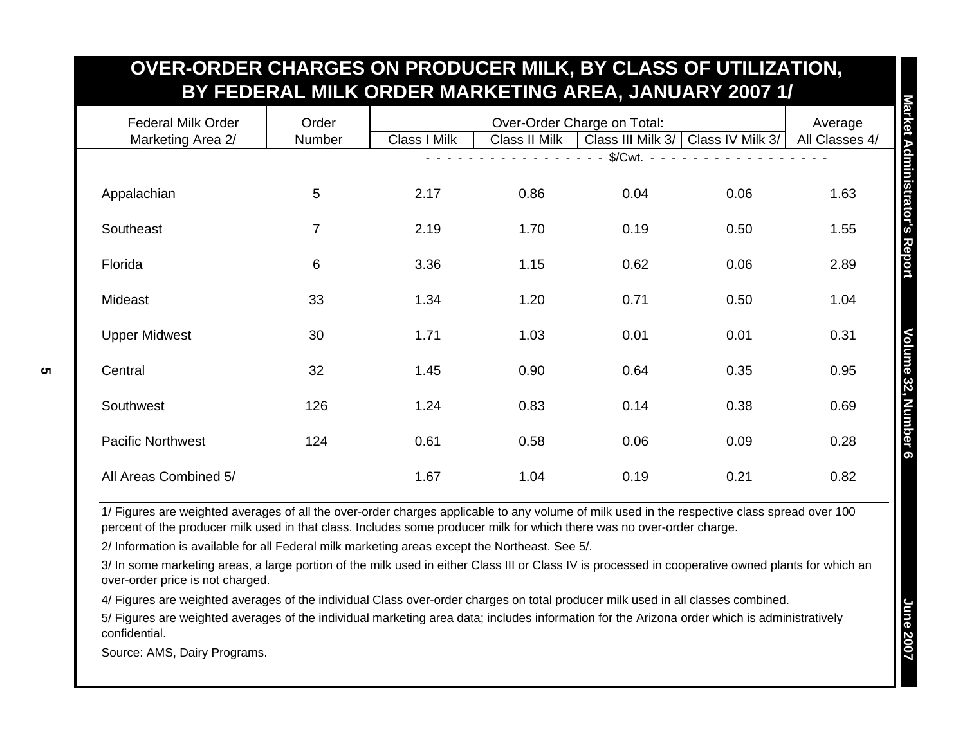| OVER-ORDER CHARGES ON PRODUCER MILK, BY CLASS OF UTILIZATION. |                 |              |                  | BY FEDERAL MILK ORDER MARKETING AREA, JANUARY 2007 1/ |      |      |
|---------------------------------------------------------------|-----------------|--------------|------------------|-------------------------------------------------------|------|------|
| <b>Federal Milk Order</b><br>Marketing Area 2/                | Order<br>Number | Class I Milk | Class IV Milk 3/ | Average<br>All Classes 4/                             |      |      |
|                                                               |                 |              |                  | $\sqrt{\text{Cwt}}$ . -                               |      |      |
| Appalachian                                                   | 5               | 2.17         | 0.86             | 0.04                                                  | 0.06 | 1.63 |
| Southeast                                                     | $\overline{7}$  | 2.19         | 1.70             | 0.19                                                  | 0.50 | 1.55 |
| Florida                                                       | 6               | 3.36         | 1.15             | 0.62                                                  | 0.06 | 2.89 |
| Mideast                                                       | 33              | 1.34         | 1.20             | 0.71                                                  | 0.50 | 1.04 |
| <b>Upper Midwest</b>                                          | 30              | 1.71         | 1.03             | 0.01                                                  | 0.01 | 0.31 |
| Central                                                       | 32              | 1.45         | 0.90             | 0.64                                                  | 0.35 | 0.95 |
| Southwest                                                     | 126             | 1.24         | 0.83             | 0.14                                                  | 0.38 | 0.69 |
| <b>Pacific Northwest</b>                                      | 124             | 0.61         | 0.58             | 0.06                                                  | 0.09 | 0.28 |
| All Areas Combined 5/                                         |                 | 1.67         | 1.04             | 0.19                                                  | 0.21 | 0.82 |

**OVER-ORDER CHARGES ON PRODUCER MILK, BY CLASS OF UTILIZATION,**

1/ Figures are weighted averages of all the over-order charges applicable to any volume of milk used in the respective class spread over 100 percent of the producer milk used in that class. Includes some producer milk for which there was no over-order charge.

2/ Information is available for all Federal milk marketing areas except the Northeast. See 5/.

3/ In some marketing areas, a large portion of the milk used in either Class III or Class IV is processed in cooperative owned plants for which an over-order price is not charged.

4/ Figures are weighted averages of the individual Class over-order charges on total producer milk used in all classes combined.

5/ Figures are weighted averages of the individual marketing area data; includes information for the Arizona order which is administratively confidential.

Source: AMS, Dairy Programs.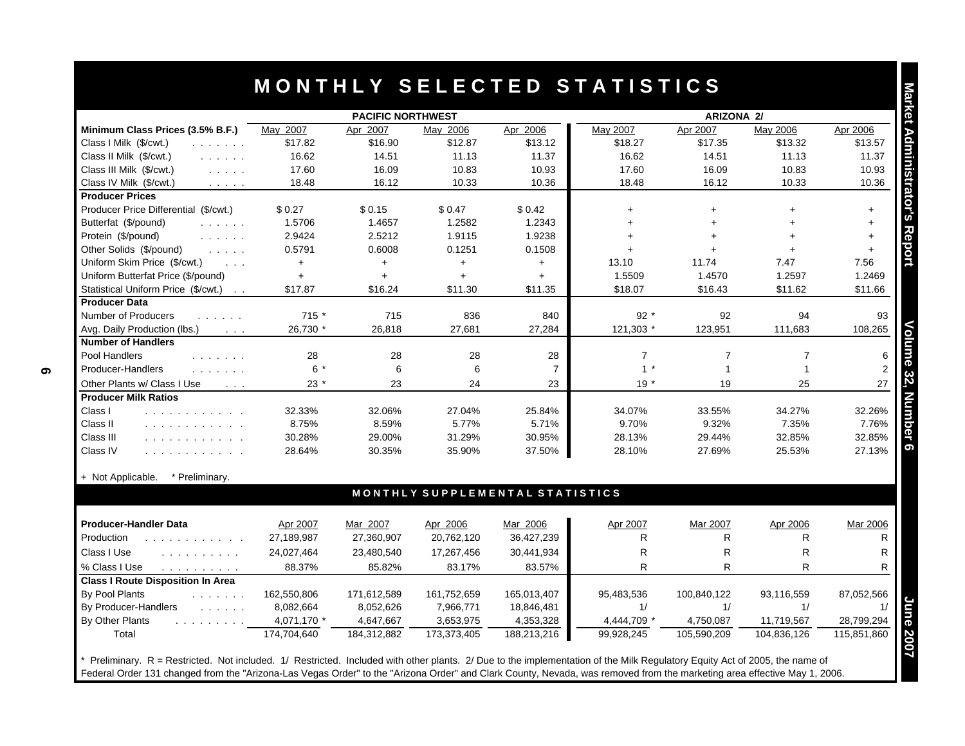|                                                                                                                        |             | <b>PACIFIC NORTHWEST</b> |             |                                 |                | ARIZONA 2/   |                |             |
|------------------------------------------------------------------------------------------------------------------------|-------------|--------------------------|-------------|---------------------------------|----------------|--------------|----------------|-------------|
| Minimum Class Prices (3.5% B.F.)                                                                                       | May 2007    | Apr 2007                 | May 2006    | Apr 2006                        | May 2007       | Apr 2007     | May 2006       | Apr 2006    |
| Class I Milk (\$/cwt.)<br>and a strain and                                                                             | \$17.82     | \$16.90                  | \$12.87     | \$13.12                         | \$18.27        | \$17.35      | \$13.32        | \$13.57     |
| Class II Milk (\$/cwt.)<br>and a state of                                                                              | 16.62       | 14.51                    | 11.13       | 11.37                           | 16.62          | 14.51        | 11.13          | 11.37       |
| Class III Milk (\$/cwt.)<br>$\mathcal{L}^{\mathcal{A}}$ . The same $\mathcal{L}^{\mathcal{A}}$                         | 17.60       | 16.09                    | 10.83       | 10.93                           | 17.60          | 16.09        | 10.83          | 10.93       |
| Class IV Milk (\$/cwt.)<br>$\mathcal{L}^{\mathcal{A}}$ and $\mathcal{L}^{\mathcal{A}}$ and $\mathcal{L}^{\mathcal{A}}$ | 18.48       | 16.12                    | 10.33       | 10.36                           | 18.48          | 16.12        | 10.33          | 10.36       |
| <b>Producer Prices</b>                                                                                                 |             |                          |             |                                 |                |              |                |             |
| Producer Price Differential (\$/cwt.)                                                                                  | \$0.27      | \$0.15                   | \$0.47      | \$0.42                          | $+$            | $+$          |                | $+$         |
| Butterfat (\$/pound)<br>and the company                                                                                | 1.5706      | 1.4657                   | 1.2582      | 1.2343                          | $+$            | $+$          |                | $\ddot{}$   |
| Protein (\$/pound)<br>and a straight                                                                                   | 2.9424      | 2.5212                   | 1.9115      | 1.9238                          | $+$            | $\ddot{}$    |                | $+$         |
| Other Solids (\$/pound)<br>and a state                                                                                 | 0.5791      | 0.6008                   | 0.1251      | 0.1508                          |                |              |                | $+$         |
| Uniform Skim Price (\$/cwt.)<br>$\sim 100$ km s $^{-1}$                                                                | $+$         | $+$                      | $+$         | $+$                             | 13.10          | 11.74        | 7.47           | 7.56        |
| Uniform Butterfat Price (\$/pound)                                                                                     | $+$         | $+$                      | $+$         | $+$                             | 1.5509         | 1.4570       | 1.2597         | 1.2469      |
| Statistical Uniform Price (\$/cwt.)                                                                                    | \$17.87     | \$16.24                  | \$11.30     | \$11.35                         | \$18.07        | \$16.43      | \$11.62        | \$11.66     |
| <b>Producer Data</b>                                                                                                   |             |                          |             |                                 |                |              |                |             |
| Number of Producers<br>.                                                                                               | 715 *       | 715                      | 836         | 840                             | $92*$          | 92           | 94             | 93          |
| Avg. Daily Production (lbs.)<br>$\sim 100$ km s $^{-1}$                                                                | 26,730 *    | 26.818                   | 27,681      | 27,284                          | 121,303 *      | 123,951      | 111,683        | 108,265     |
| <b>Number of Handlers</b>                                                                                              |             |                          |             |                                 |                |              |                |             |
| Pool Handlers<br>.                                                                                                     | 28          | 28                       | 28          | 28                              | $\overline{7}$ | 7            | $\overline{7}$ |             |
| Producer-Handlers<br>and a straight and                                                                                | $6*$        | 6                        | 6           | $\overline{7}$                  | $1 *$          | $\mathbf{1}$ | $\mathbf{1}$   |             |
| Other Plants w/ Class I Use<br>$\sim 100$ km s $^{-1}$                                                                 | $23*$       | 23                       | 24          | 23                              | $19*$          | 19           | 25             | 27          |
| <b>Producer Milk Ratios</b>                                                                                            |             |                          |             |                                 |                |              |                |             |
| Class I<br>and a series and a series of                                                                                | 32.33%      | 32.06%                   | 27.04%      | 25.84%                          | 34.07%         | 33.55%       | 34.27%         | 32.26%      |
| Class II<br>.                                                                                                          | 8.75%       | 8.59%                    | 5.77%       | 5.71%                           | 9.70%          | 9.32%        | 7.35%          | 7.76%       |
| Class III<br>.                                                                                                         | 30.28%      | 29.00%                   | 31.29%      | 30.95%                          | 28.13%         | 29.44%       | 32.85%         | 32.85%      |
| Class IV<br>.                                                                                                          | 28.64%      | 30.35%                   | 35.90%      | 37.50%                          | 28.10%         | 27.69%       | 25.53%         | 27.13%      |
| * Preliminary.<br>+ Not Applicable.                                                                                    |             |                          |             |                                 |                |              |                |             |
|                                                                                                                        |             |                          |             | MONTHLY SUPPLEMENTAL STATISTICS |                |              |                |             |
| <b>Producer-Handler Data</b>                                                                                           | Apr 2007    | Mar 2007                 | Apr 2006    | Mar 2006                        | Apr 2007       | Mar 2007     | Apr 2006       | Mar 2006    |
| Production<br>and a contract of the contract of the                                                                    | 27,189,987  | 27,360,907               | 20,762,120  | 36,427,239                      | R              | $\mathsf{R}$ | R              |             |
| Class I Use<br>and and and analysis                                                                                    | 24,027,464  | 23,480,540               | 17,267,456  | 30,441,934                      | $\mathsf{R}$   | $\mathsf{R}$ | $\mathsf{R}$   |             |
| % Class I Use<br>and a straightful control                                                                             | 88.37%      | 85.82%                   | 83.17%      | 83.57%                          | $\mathsf{R}$   | $\mathsf{R}$ | $\mathsf{R}$   |             |
| <b>Class I Route Disposition In Area</b>                                                                               |             |                          |             |                                 |                |              |                |             |
| By Pool Plants<br>$\mathcal{L}$ . The set of the $\mathcal{L}$                                                         | 162,550,806 | 171,612,589              | 161,752,659 | 165,013,407                     | 95,483,536     | 100,840,122  | 93,116,559     | 87,052,566  |
| By Producer-Handlers<br>and the state of the state                                                                     | 8,082,664   | 8,052,626                | 7,966,771   | 18,846,481                      | 1/             | 1/           | 1/             |             |
| By Other Plants<br>$\mathcal{L}$ , and $\mathcal{L}$ , and $\mathcal{L}$ , and $\mathcal{L}$ , and $\mathcal{L}$       | 4,071,170 * | 4,647,667                | 3,653,975   | 4,353,328                       | 4,444,709 *    | 4,750,087    | 11,719,567     | 28,799,294  |
| Total                                                                                                                  | 174.704.640 | 184,312,882              | 173,373,405 | 188,213,216                     | 99,928,245     | 105,590,209  | 104.836.126    | 115.851.860 |

Federal Order 131 changed from the "Arizona-Las Vegas Order" to the "Arizona Order" and Clark County, Nevada, was removed from the marketing area effective May 1, 2006.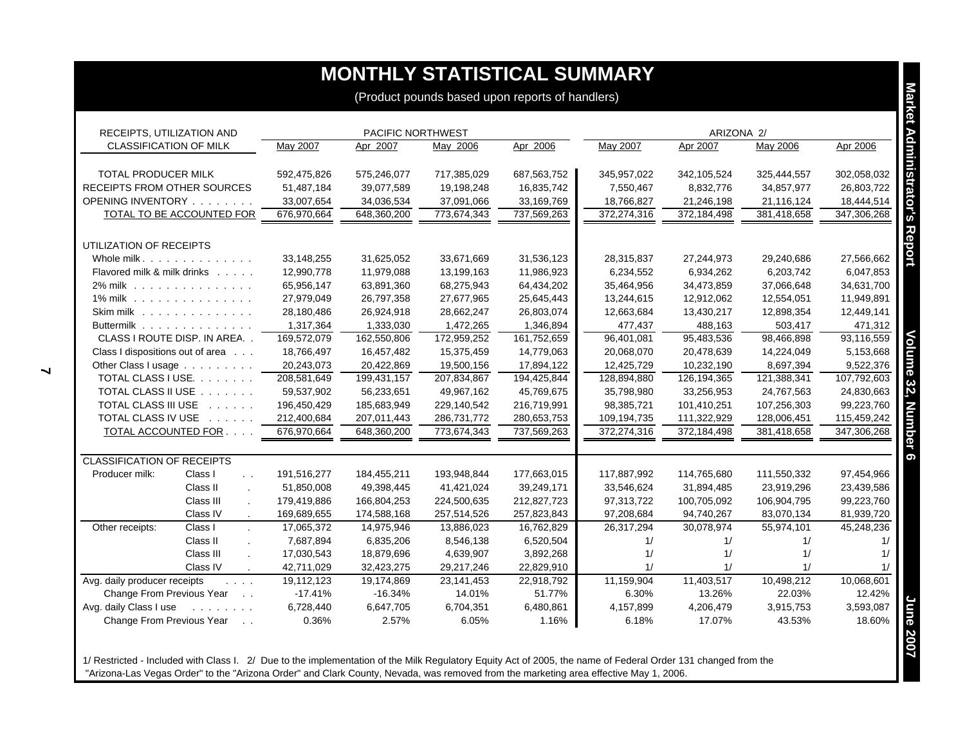|                                                                                                                         |                   |             |             | (Product pounds based upon reports of handlers) |             |             |             |             |
|-------------------------------------------------------------------------------------------------------------------------|-------------------|-------------|-------------|-------------------------------------------------|-------------|-------------|-------------|-------------|
| RECEIPTS, UTILIZATION AND                                                                                               | PACIFIC NORTHWEST |             |             |                                                 | ARIZONA 2/  |             |             |             |
| <b>CLASSIFICATION OF MILK</b>                                                                                           | May 2007          | Apr 2007    | May 2006    | Apr 2006                                        | May 2007    | Apr 2007    | May 2006    | Apr 2006    |
| TOTAL PRODUCER MILK                                                                                                     | 592,475,826       | 575,246,077 | 717,385,029 | 687,563,752                                     | 345,957,022 | 342,105,524 | 325,444,557 | 302,058,032 |
| <b>RECEIPTS FROM OTHER SOURCES</b>                                                                                      | 51,487,184        | 39,077,589  | 19,198,248  | 16,835,742                                      | 7,550,467   | 8,832,776   | 34,857,977  | 26,803,722  |
| OPENING INVENTORY                                                                                                       | 33,007,654        | 34,036,534  | 37,091,066  | 33,169,769                                      | 18,766,827  | 21,246,198  | 21,116,124  | 18,444,514  |
| TOTAL TO BE ACCOUNTED FOR                                                                                               | 676,970,664       | 648,360,200 | 773,674,343 | 737,569,263                                     | 372,274,316 | 372,184,498 | 381,418,658 | 347,306,268 |
| UTILIZATION OF RECEIPTS                                                                                                 |                   |             |             |                                                 |             |             |             |             |
| Whole milk.                                                                                                             | 33,148,255        | 31,625,052  | 33,671,669  | 31,536,123                                      | 28,315,837  | 27,244,973  | 29,240,686  | 27,566,662  |
| Flavored milk & milk drinks                                                                                             | 12,990,778        | 11,979,088  | 13,199,163  | 11,986,923                                      | 6,234,552   | 6,934,262   | 6,203,742   | 6,047,853   |
| 2% milk                                                                                                                 | 65,956,147        | 63,891,360  | 68,275,943  | 64,434,202                                      | 35,464,956  | 34,473,859  | 37,066,648  | 34,631,700  |
| 1% milk                                                                                                                 | 27,979,049        | 26,797,358  | 27,677,965  | 25,645,443                                      | 13,244,615  | 12,912,062  | 12,554,051  | 11,949,891  |
| Skim milk                                                                                                               | 28,180,486        | 26,924,918  | 28,662,247  | 26,803,074                                      | 12,663,684  | 13,430,217  | 12,898,354  | 12,449,141  |
| Buttermilk                                                                                                              | 1,317,364         | 1,333,030   | 1,472,265   | 1,346,894                                       | 477,437     | 488,163     | 503,417     | 471,312     |
| CLASS I ROUTE DISP. IN AREA                                                                                             | 169,572,079       | 162,550,806 | 172,959,252 | 161,752,659                                     | 96,401,081  | 95,483,536  | 98,466,898  | 93,116,559  |
| Class I dispositions out of area                                                                                        | 18,766,497        | 16,457,482  | 15,375,459  | 14,779,063                                      | 20,068,070  | 20,478,639  | 14,224,049  | 5,153,668   |
| Other Class I usage                                                                                                     | 20,243,073        | 20,422,869  | 19,500,156  | 17,894,122                                      | 12,425,729  | 10,232,190  | 8,697,394   | 9,522,376   |
| TOTAL CLASS I USE.                                                                                                      | 208,581,649       | 199,431,157 | 207,834,867 | 194,425,844                                     | 128,894,880 | 126,194,365 | 121,388,341 | 107,792,603 |
| TOTAL CLASS II USE                                                                                                      | 59,537,902        | 56,233,651  | 49,967,162  | 45,769,675                                      | 35,798,980  | 33,256,953  | 24,767,563  | 24,830,663  |
| TOTAL CLASS III USE                                                                                                     | 196,450,429       | 185,683,949 | 229,140,542 | 216,719,991                                     | 98,385,721  | 101,410,251 | 107,256,303 | 99,223,760  |
| TOTAL CLASS IV USE                                                                                                      | 212,400,684       | 207,011,443 | 286,731,772 | 280,653,753                                     | 109,194,735 | 111,322,929 | 128,006,451 | 115,459,242 |
| TOTAL ACCOUNTED FOR                                                                                                     | 676,970,664       | 648,360,200 | 773,674,343 | 737,569,263                                     | 372,274,316 | 372,184,498 | 381,418,658 | 347,306,268 |
| <b>CLASSIFICATION OF RECEIPTS</b>                                                                                       |                   |             |             |                                                 |             |             |             |             |
| Class I<br>Producer milk:<br>$\sim$ $\sim$                                                                              | 191,516,277       | 184,455,211 | 193,948,844 | 177,663,015                                     | 117,887,992 | 114,765,680 | 111,550,332 | 97,454,966  |
| Class II                                                                                                                | 51,850,008        | 49,398,445  | 41,421,024  | 39,249,171                                      | 33,546,624  | 31,894,485  | 23,919,296  | 23,439,586  |
| Class III<br>$\mathcal{L}$                                                                                              | 179,419,886       | 166,804,253 | 224,500,635 | 212,827,723                                     | 97,313,722  | 100,705,092 | 106,904,795 | 99,223,760  |
| Class IV<br>$\sim$                                                                                                      | 169,689,655       | 174,588,168 | 257,514,526 | 257,823,843                                     | 97,208,684  | 94,740,267  | 83,070,134  | 81,939,720  |
| Other receipts:<br>Class I                                                                                              | 17,065,372        | 14,975,946  | 13,886,023  | 16,762,829                                      | 26,317,294  | 30,078,974  | 55,974,101  | 45,248,236  |
| Class II<br>$\mathbf{r}$                                                                                                | 7,687,894         | 6,835,206   | 8,546,138   | 6,520,504                                       | 1/          | 1/          | 1/          |             |
| Class III<br>$\mathcal{L}^{\mathcal{L}}$                                                                                | 17,030,543        | 18,879,696  | 4,639,907   | 3,892,268                                       | 1/          | 1/          | 1/          |             |
| Class IV                                                                                                                | 42,711,029        | 32,423,275  | 29,217,246  | 22,829,910                                      | 1/          | 1/          | 1/          |             |
| Avg. daily producer receipts<br>$\mathcal{L}^{\mathcal{L}}$ , $\mathcal{L}^{\mathcal{L}}$ , $\mathcal{L}^{\mathcal{L}}$ | 19,112,123        | 19,174,869  | 23,141,453  | 22,918,792                                      | 11,159,904  | 11,403,517  | 10,498,212  | 10,068,601  |
| Change From Previous Year                                                                                               | $-17.41%$         | $-16.34%$   | 14.01%      | 51.77%                                          | 6.30%       | 13.26%      | 22.03%      | 12.42%      |
| Avg. daily Class I use                                                                                                  | 6,728,440         | 6,647,705   | 6,704,351   | 6,480,861                                       | 4,157,899   | 4,206,479   | 3,915,753   | 3,593,087   |
| Change From Previous Year                                                                                               | 0.36%             | 2.57%       | 6.05%       | 1.16%                                           | 6.18%       | 17.07%      | 43.53%      | 18.60%      |

1/ Restricted - Included with Class I. 2/ Due to the implementation of the Milk Regulatory Equity Act of 2005, the name of Federal Order 131 changed from the "Arizona-Las Vegas Order" to the "Arizona Order" and Clark County, Nevada, was removed from the marketing area effective May 1, 2006.